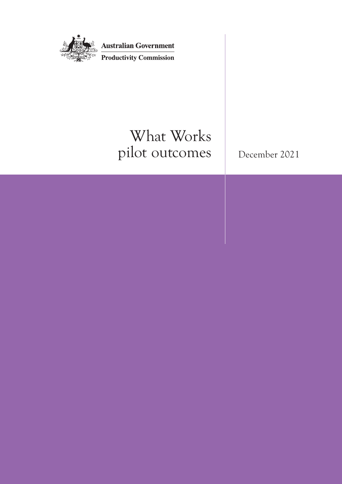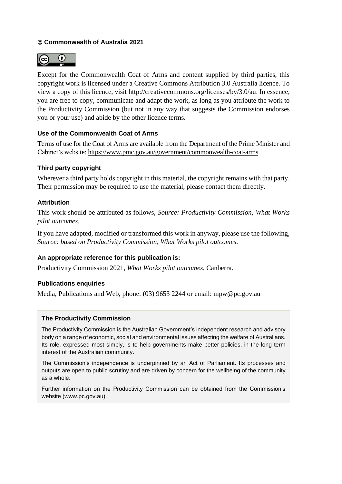### © **Commonwealth of Australia 2021**



Except for the Commonwealth Coat of Arms and content supplied by third parties, this copyright work is licensed under a Creative Commons Attribution 3.0 Australia licence. To view a copy of this licence, visit [http://creativecommons.org/licenses/by/3.0/au.](http://creativecommons.org/licenses/by/3.0/au) In essence, you are free to copy, communicate and adapt the work, as long as you attribute the work to the Productivity Commission (but not in any way that suggests the Commission endorses you or your use) and abide by the other licence terms.

### **Use of the Commonwealth Coat of Arms**

Terms of use for the Coat of Arms are available from the Department of the Prime Minister and Cabinet's website:<https://www.pmc.gov.au/government/commonwealth-coat-arms>

### **Third party copyright**

Wherever a third party holds copyright in this material, the copyright remains with that party. Their permission may be required to use the material, please contact them directly.

### **Attribution**

This work should be attributed as follows, *Source: Productivity Commission, What Works pilot outcomes*.

If you have adapted, modified or transformed this work in anyway, please use the following, *Source: based on Productivity Commission, What Works pilot outcomes*.

### **An appropriate reference for this publication is:**

Productivity Commission 2021*, What Works pilot outcomes*, Canberra.

### **Publications enquiries**

Media, Publications and Web, phone: (03) 9653 2244 or email: mpw@pc.gov.au

### **The Productivity Commission**

The Productivity Commission is the Australian Government's independent research and advisory body on a range of economic, social and environmental issues affecting the welfare of Australians. Its role, expressed most simply, is to help governments make better policies, in the long term interest of the Australian community.

The Commission's independence is underpinned by an Act of Parliament. Its processes and outputs are open to public scrutiny and are driven by concern for the wellbeing of the community as a whole.

Further information on the Productivity Commission can be obtained from the Commission's website [\(www.pc.gov.au\)](http://www.pc.gov.au/).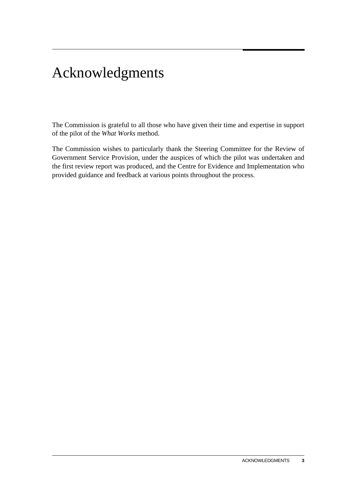# Acknowledgments

The Commission is grateful to all those who have given their time and expertise in support of the pilot of the *What Works* method.

The Commission wishes to particularly thank the Steering Committee for the Review of Government Service Provision, under the auspices of which the pilot was undertaken and the first review report was produced, and the Centre for Evidence and Implementation who provided guidance and feedback at various points throughout the process.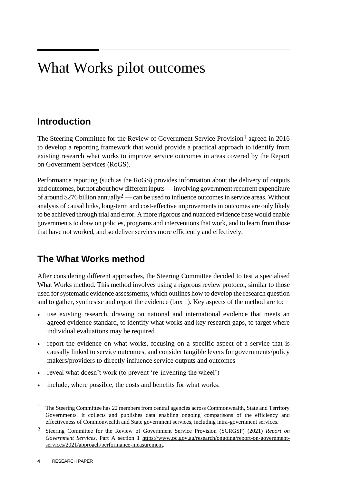# What Works pilot outcomes

## **Introduction**

The Steering Committee for the Review of Government Service Provision<sup>1</sup> agreed in 2016 to develop a reporting framework that would provide a practical approach to identify from existing research what works to improve service outcomes in areas covered by the Report on Government Services (RoGS).

Performance reporting (such as the RoGS) provides information about the delivery of outputs and outcomes, but not about how different inputs — involving government recurrent expenditure of around \$276 billion annually<sup>2</sup> — can be used to influence outcomes in service areas. Without analysis of causal links, long-term and cost-effective improvements in outcomes are only likely to be achieved through trial and error. A more rigorous and nuanced evidence base would enable governments to draw on policies, programs and interventions that work, and to learn from those that have not worked, and so deliver services more efficiently and effectively.

## **The What Works method**

After considering different approaches, the Steering Committee decided to test a specialised What Works method. This method involves using a rigorous review protocol, similar to those used for systematic evidence assessments, which outlines how to develop the research question and to gather, synthesise and report the evidence (box 1). Key aspects of the method are to:

- use existing research, drawing on national and international evidence that meets an agreed evidence standard, to identify what works and key research gaps, to target where individual evaluations may be required
- report the evidence on what works, focusing on a specific aspect of a service that is causally linked to service outcomes, and consider tangible levers for governments/policy makers/providers to directly influence service outputs and outcomes
- reveal what doesn't work (to prevent 're-inventing the wheel')
- include, where possible, the costs and benefits for what works.

<sup>&</sup>lt;sup>1</sup> The Steering Committee has 22 members from central agencies across Commonwealth, State and Territory Governments. It collects and publishes data enabling ongoing comparisons of the efficiency and effectiveness of Commonwealth and State government services, including intra-government services.

<sup>2</sup> Steering Committee for the Review of Government Service Provision (SCRGSP) (2021) *Report on Government Services*, Part A section 1 [https://www.pc.gov.au/research/ongoing/report-on-government](about:blank)[services/2021/approach/performance-measurement.](about:blank)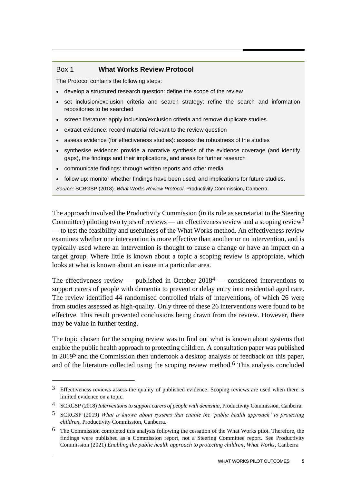### Box 1 **What Works Review Protocol**

The Protocol contains the following steps:

- develop a structured research question: define the scope of the review
- set inclusion/exclusion criteria and search strategy: refine the search and information repositories to be searched
- screen literature: apply inclusion/exclusion criteria and remove duplicate studies
- extract evidence: record material relevant to the review question
- assess evidence (for effectiveness studies): assess the robustness of the studies
- synthesise evidence: provide a narrative synthesis of the evidence coverage (and identify gaps), the findings and their implications, and areas for further research
- communicate findings: through written reports and other media
- follow up: monitor whether findings have been used, and implications for future studies.

*Source*: SCRGSP (2018). *What Works Review Protocol*, Productivity Commission, Canberra.

The approach involved the Productivity Commission (in its role as secretariat to the Steering Committee) piloting two types of reviews — an effectiveness review and a scoping review<sup>3</sup> — to test the feasibility and usefulness of the What Works method. An effectiveness review examines whether one intervention is more effective than another or no intervention, and is typically used where an intervention is thought to cause a change or have an impact on a target group. Where little is known about a topic a scoping review is appropriate, which looks at what is known about an issue in a particular area.

The effectiveness review — published in October  $2018<sup>4</sup>$  — considered interventions to support carers of people with dementia to prevent or delay entry into residential aged care. The review identified 44 randomised controlled trials of interventions, of which 26 were from studies assessed as high-quality. Only three of these 26 interventions were found to be effective. This result prevented conclusions being drawn from the review. However, there may be value in further testing.

The topic chosen for the scoping review was to find out what is known about systems that enable the public health approach to protecting children. A consultation paper was published in 20195 and the Commission then undertook a desktop analysis of feedback on this paper, and of the literature collected using the scoping review method.<sup>6</sup> This analysis concluded

<sup>3</sup> Effectiveness reviews assess the quality of published evidence. Scoping reviews are used when there is limited evidence on a topic.

<sup>4</sup> SCRGSP (2018) *Interventions to support carers of people with dementia*, Productivity Commission, Canberra.

<sup>5</sup> SCRGSP (2019) *What is known about systems that enable the 'public health approach' to protecting children*, Productivity Commission, Canberra*.*

<sup>6</sup> The Commission completed this analysis following the cessation of the What Works pilot. Therefore, the findings were published as a Commission report, not a Steering Committee report. See Productivity Commission (2021) *Enabling the public health approach to protecting children*, *What Works*, Canberra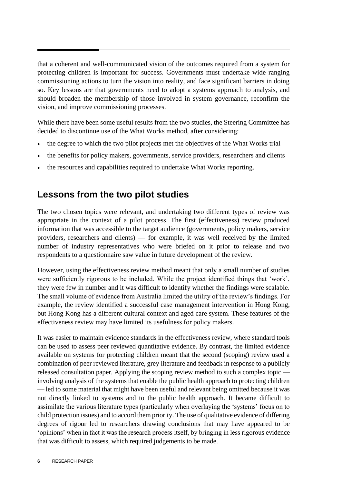that a coherent and well-communicated vision of the outcomes required from a system for protecting children is important for success. Governments must undertake wide ranging commissioning actions to turn the vision into reality, and face significant barriers in doing so. Key lessons are that governments need to adopt a systems approach to analysis, and should broaden the membership of those involved in system governance, reconfirm the vision, and improve commissioning processes.

While there have been some useful results from the two studies, the Steering Committee has decided to discontinue use of the What Works method, after considering:

- the degree to which the two pilot projects met the objectives of the What Works trial
- the benefits for policy makers, governments, service providers, researchers and clients
- the resources and capabilities required to undertake What Works reporting.

## **Lessons from the two pilot studies**

The two chosen topics were relevant, and undertaking two different types of review was appropriate in the context of a pilot process. The first (effectiveness) review produced information that was accessible to the target audience (governments, policy makers, service providers, researchers and clients) — for example, it was well received by the limited number of industry representatives who were briefed on it prior to release and two respondents to a questionnaire saw value in future development of the review.

However, using the effectiveness review method meant that only a small number of studies were sufficiently rigorous to be included. While the project identified things that 'work', they were few in number and it was difficult to identify whether the findings were scalable. The small volume of evidence from Australia limited the utility of the review's findings. For example, the review identified a successful case management intervention in Hong Kong, but Hong Kong has a different cultural context and aged care system. These features of the effectiveness review may have limited its usefulness for policy makers.

It was easier to maintain evidence standards in the effectiveness review, where standard tools can be used to assess peer reviewed quantitative evidence. By contrast, the limited evidence available on systems for protecting children meant that the second (scoping) review used a combination of peer reviewed literature, grey literature and feedback in response to a publicly released consultation paper. Applying the scoping review method to such a complex topic involving analysis of the systems that enable the public health approach to protecting children — led to some material that might have been useful and relevant being omitted because it was not directly linked to systems and to the public health approach. It became difficult to assimilate the various literature types (particularly when overlaying the 'systems' focus on to child protection issues) and to accord them priority. The use of qualitative evidence of differing degrees of rigour led to researchers drawing conclusions that may have appeared to be 'opinions' when in fact it was the research process itself, by bringing in less rigorous evidence that was difficult to assess, which required judgements to be made.